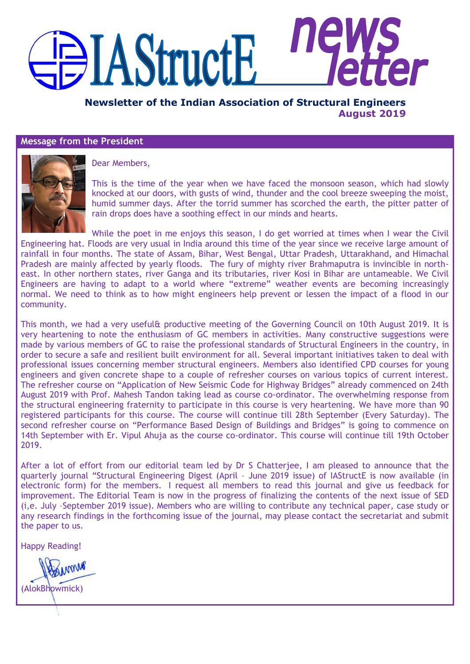# **IIG EXAStructE**

# **Newsletter of the Indian Association of Structural Engineers August 2019**

#### **Message from the President**



Dear Members,

This is the time of the year when we have faced the monsoon season, which had slowly knocked at our doors, with gusts of wind, thunder and the cool breeze sweeping the moist, humid summer days. After the torrid summer has scorched the earth, the pitter patter of rain drops does have a soothing effect in our minds and hearts.

While the poet in me enjoys this season, I do get worried at times when I wear the Civil Engineering hat. Floods are very usual in India around this time of the year since we receive large amount of rainfall in four months. The state of Assam, Bihar, West Bengal, Uttar Pradesh, Uttarakhand, and Himachal Pradesh are mainly affected by yearly floods. The fury of mighty river Brahmaputra is invincible in northeast. In other northern states, river Ganga and its tributaries, river Kosi in Bihar are untameable. We Civil Engineers are having to adapt to a world where "extreme" weather events are becoming increasingly normal. We need to think as to how might engineers help prevent or lessen the impact of a flood in our community.

This month, we had a very useful& productive meeting of the Governing Council on 10th August 2019. It is very heartening to note the enthusiasm of GC members in activities. Many constructive suggestions were made by various members of GC to raise the professional standards of Structural Engineers in the country, in order to secure a safe and resilient built environment for all. Several important initiatives taken to deal with professional issues concerning member structural engineers. Members also identified CPD courses for young engineers and given concrete shape to a couple of refresher courses on various topics of current interest. The refresher course on "Application of New Seismic Code for Highway Bridges" already commenced on 24th August 2019 with Prof. Mahesh Tandon taking lead as course co-ordinator. The overwhelming response from the structural engineering fraternity to participate in this course is very heartening. We have more than 90 registered participants for this course. The course will continue till 28th September (Every Saturday). The second refresher course on "Performance Based Design of Buildings and Bridges" is going to commence on 14th September with Er. Vipul Ahuja as the course co-ordinator. This course will continue till 19th October 2019.

After a lot of effort from our editorial team led by Dr S Chatterjee, I am pleased to announce that the quarterly journal "Structural Engineering Digest (April – June 2019 issue) of IAStructE is now available (in electronic form) for the members. I request all members to read this journal and give us feedback for improvement. The Editorial Team is now in the progress of finalizing the contents of the next issue of SED (i,e. July –September 2019 issue). Members who are willing to contribute any technical paper, case study or any research findings in the forthcoming issue of the journal, may please contact the secretariat and submit the paper to us.

Happy Reading!

AMMA (AlokBhowmick)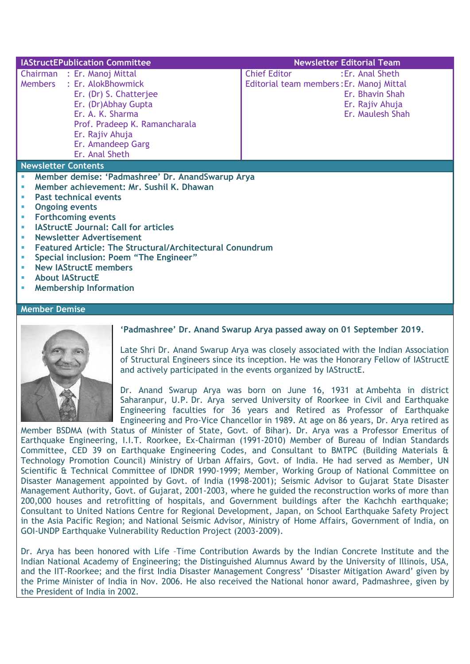| <b>IAStructEPublication Committee</b>                                                                                                                                                                                                                                                                                                                                                                                                                                                                     | <b>Newsletter Editorial Team</b>                                                                                                              |  |  |  |
|-----------------------------------------------------------------------------------------------------------------------------------------------------------------------------------------------------------------------------------------------------------------------------------------------------------------------------------------------------------------------------------------------------------------------------------------------------------------------------------------------------------|-----------------------------------------------------------------------------------------------------------------------------------------------|--|--|--|
| Chairman : Er. Manoj Mittal<br>: Er. AlokBhowmick<br><b>Members</b><br>Er. (Dr) S. Chatterjee<br>Er. (Dr)Abhay Gupta<br>Er. A. K. Sharma<br>Prof. Pradeep K. Ramancharala<br>Er. Rajiv Ahuja<br>Er. Amandeep Garg<br>Er. Anal Sheth                                                                                                                                                                                                                                                                       | <b>Chief Editor</b><br>: Er. Anal Sheth<br>Editorial team members: Er. Manoj Mittal<br>Er. Bhavin Shah<br>Er. Rajiv Ahuja<br>Er. Maulesh Shah |  |  |  |
| <b>Newsletter Contents</b>                                                                                                                                                                                                                                                                                                                                                                                                                                                                                |                                                                                                                                               |  |  |  |
| Member demise: 'Padmashree' Dr. AnandSwarup Arya<br>Member achievement: Mr. Sushil K. Dhawan<br><b>Past technical events</b><br><b>Ongoing events</b><br><b>Forthcoming events</b><br>$\mathcal{C}$<br><b>IAStructE Journal: Call for articles</b><br><b>Newsletter Advertisement</b><br><b>Featured Article: The Structural/Architectural Conundrum</b><br>Special inclusion: Poem "The Engineer"<br>H.<br><b>New IAStructE members</b><br><b>About IAStructE</b><br><b>Membership Information</b><br>u, |                                                                                                                                               |  |  |  |

#### **Member Demise**



#### **"Padmashree" Dr. Anand Swarup Arya passed away on 01 September 2019.**

Late Shri Dr. Anand Swarup Arya was closely associated with the Indian Association of Structural Engineers since its inception. He was the Honorary Fellow of IAStructE and actively participated in the events organized by IAStructE.

Dr. Anand Swarup Arya was born on June 16, 1931 at Ambehta in district Saharanpur, U.P. Dr. Arya served University of Roorkee in Civil and Earthquake Engineering faculties for 36 years and Retired as Professor of Earthquake Engineering and Pro-Vice Chancellor in 1989. At age on 86 years, Dr. Arya retired as

Member BSDMA (with Status of Minister of State, Govt. of Bihar). Dr. Arya was a Professor Emeritus of Earthquake Engineering, I.I.T. Roorkee, Ex-Chairman (1991-2010) Member of Bureau of Indian Standards Committee, CED 39 on Earthquake Engineering Codes, and Consultant to BMTPC (Building Materials & Technology Promotion Council) Ministry of Urban Affairs, Govt. of India. He had served as Member, UN Scientific & Technical Committee of IDNDR 1990-1999; Member, Working Group of National Committee on Disaster Management appointed by Govt. of India (1998-2001); Seismic Advisor to Gujarat State Disaster Management Authority, Govt. of Gujarat, 2001-2003, where he guided the reconstruction works of more than 200,000 houses and retrofitting of hospitals, and Government buildings after the Kachchh earthquake; Consultant to United Nations Centre for Regional Development, Japan, on School Earthquake Safety Project in the Asia Pacific Region; and National Seismic Advisor, Ministry of Home Affairs, Government of India, on GOI-UNDP Earthquake Vulnerability Reduction Project (2003-2009).

Dr. Arya has been honored with Life –Time Contribution Awards by the Indian Concrete Institute and the Indian National Academy of Engineering; the Distinguished Alumnus Award by the University of Illinois, USA, and the IIT-Roorkee; and the first India Disaster Management Congress' 'Disaster Mitigation Award' given by the Prime Minister of India in Nov. 2006. He also received the National honor award, Padmashree, given by the President of India in 2002.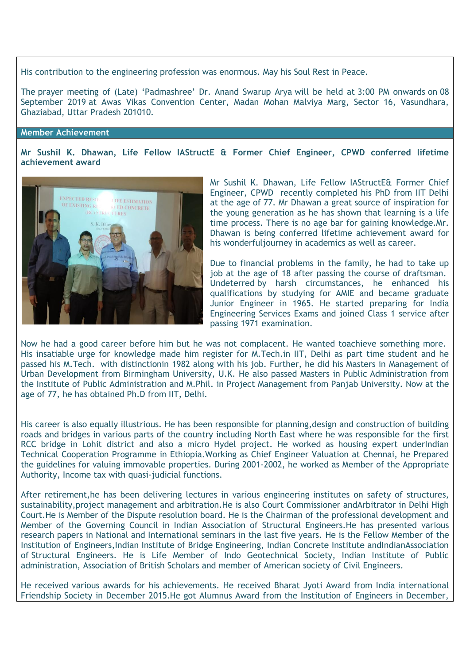His contribution to the engineering profession was enormous. May his Soul Rest in Peace.

The prayer meeting of (Late) "Padmashree" Dr. Anand Swarup Arya will be held at 3:00 PM onwards on 08 September 2019 at Awas Vikas Convention Center, Madan Mohan Malviya Marg, Sector 16, Vasundhara, Ghaziabad, Uttar Pradesh 201010.

#### **Member Achievement**

**Mr Sushil K. Dhawan, Life Fellow IAStructE & Former Chief Engineer, CPWD conferred lifetime achievement award** 



Mr Sushil K. Dhawan, Life Fellow IAStructE& Former Chief Engineer, CPWD recently completed his PhD from IIT Delhi at the age of 77. Mr Dhawan a great source of inspiration for the young generation as he has shown that learning is a life time process. There is no age bar for gaining knowledge.Mr. Dhawan is being conferred lifetime achievement award for his wonderfuljourney in academics as well as career.

Due to financial problems in the family, he had to take up job at the age of 18 after passing the course of draftsman. Undeterred by harsh circumstances, he enhanced his qualifications by studying for AMIE and became graduate Junior Engineer in 1965. He started preparing for India Engineering Services Exams and joined Class 1 service after passing 1971 examination.

Now he had a good career before him but he was not complacent. He wanted toachieve something more. His insatiable urge for knowledge made him register for M.Tech.in IIT, Delhi as part time student and he passed his M.Tech. with distinctionin 1982 along with his job. Further, he did his Masters in Management of Urban Development from Birmingham University, U.K. He also passed Masters in Public Administration from the Institute of Public Administration and M.Phil. in Project Management from Panjab University. Now at the age of 77, he has obtained Ph.D from IIT, Delhi.

His career is also equally illustrious. He has been responsible for planning,design and construction of building roads and bridges in various parts of the country including North East where he was responsible for the first RCC bridge in Lohit district and also a micro Hydel project. He worked as housing expert underIndian Technical Cooperation Programme in Ethiopia.Working as Chief Engineer Valuation at Chennai, he Prepared the guidelines for valuing immovable properties. During 2001-2002, he worked as Member of the Appropriate Authority, Income tax with quasi-judicial functions.

After retirement,he has been delivering lectures in various engineering institutes on safety of structures, sustainability,project management and arbitration.He is also Court Commissioner andArbitrator in Delhi High Court.He is Member of the Dispute resolution board. He is the Chairman of the professional development and Member of the Governing Council in Indian Association of Structural Engineers.He has presented various research papers in National and International seminars in the last five years. He is the Fellow Member of the Institution of Engineers, Indian Institute of Bridge Engineering, Indian Concrete Institute andIndianAssociation of Structural Engineers. He is Life Member of Indo Geotechnical Society, Indian Institute of Public administration, Association of British Scholars and member of American society of Civil Engineers.

He received various awards for his achievements. He received Bharat Jyoti Award from India international Friendship Society in December 2015.He got Alumnus Award from the Institution of Engineers in December,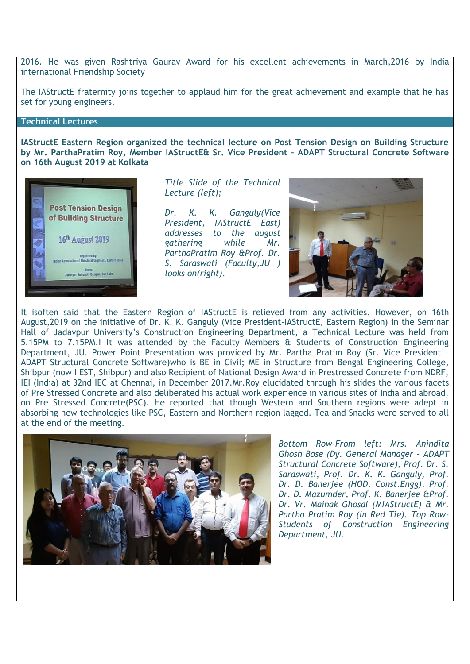2016. He was given Rashtriya Gaurav Award for his excellent achievements in March,2016 by India international Friendship Society

The IAStructE fraternity joins together to applaud him for the great achievement and example that he has set for young engineers.

#### **Technical Lectures**

**IAStructE Eastern Region organized the technical lecture on Post Tension Design on Building Structure by Mr. ParthaPratim Roy, Member IAStructE& Sr. Vice President – ADAPT Structural Concrete Software on 16th August 2019 at Kolkata**



*Title Slide of the Technical Lecture (left);* 

*Dr. K. K. Ganguly(Vice President, IAStructE East) addresses to the august gathering while Mr. ParthaPratim Roy &Prof. Dr. S. Saraswati (Faculty,JU ) looks on(right).*



It isoften said that the Eastern Region of IAStructE is relieved from any activities. However, on 16th August,2019 on the initiative of Dr. K. K. Ganguly (Vice President-IAStructE, Eastern Region) in the Seminar Hall of Jadavpur University"s Construction Engineering Department, a Technical Lecture was held from 5.15PM to 7.15PM.I It was attended by the Faculty Members & Students of Construction Engineering Department, JU. Power Point Presentation was provided by Mr. Partha Pratim Roy (Sr. Vice President – ADAPT Structural Concrete Software)who is BE in Civil; ME in Structure from Bengal Engineering College, Shibpur (now IIEST, Shibpur) and also Recipient of National Design Award in Prestressed Concrete from NDRF, IEI (India) at 32nd IEC at Chennai, in December 2017.Mr.Roy elucidated through his slides the various facets of Pre Stressed Concrete and also deliberated his actual work experience in various sites of India and abroad, on Pre Stressed Concrete(PSC). He reported that though Western and Southern regions were adept in absorbing new technologies like PSC, Eastern and Northern region lagged. Tea and Snacks were served to all at the end of the meeting.



*Bottom Row-From left: Mrs. Anindita Ghosh Bose (Dy. General Manager - ADAPT Structural Concrete Software), Prof. Dr. S. Saraswati, Prof. Dr. K. K. Ganguly, Prof. Dr. D. Banerjee (HOD, Const.Engg), Prof. Dr. D. Mazumder, Prof. K. Banerjee &Prof. Dr. Vr. Mainak Ghosal (MIAStructE) & Mr. Partha Pratim Roy (in Red Tie). Top Row-Students of Construction Engineering Department, JU.*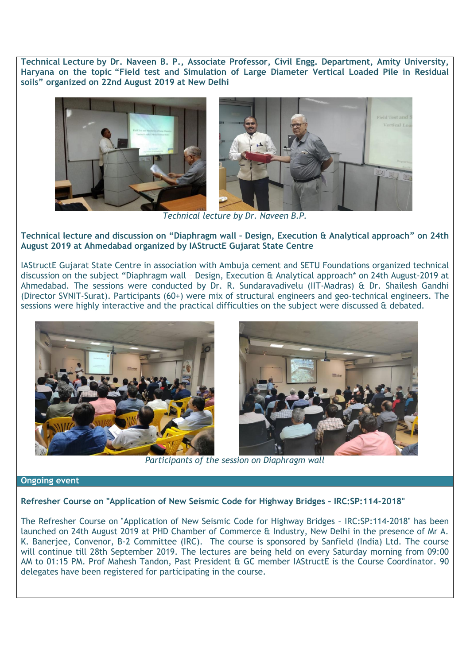**Technical Lecture by Dr. Naveen B. P., Associate Professor, Civil Engg. Department, Amity University, Haryana on the topic "Field test and Simulation of Large Diameter Vertical Loaded Pile in Residual soils" organized on 22nd August 2019 at New Delhi**



*Technical lecture by Dr. Naveen B.P.*

**Technical lecture and discussion on "Diaphragm wall – Design, Execution & Analytical approach" on 24th August 2019 at Ahmedabad organized by IAStructE Gujarat State Centre**

IAStructE Gujarat State Centre in association with Ambuja cement and SETU Foundations organized technical discussion on the subject "Diaphragm wall – Design, Execution & Analytical approach\* on 24th August-2019 at Ahmedabad. The sessions were conducted by Dr. R. Sundaravadivelu (IIT-Madras) & Dr. Shailesh Gandhi (Director SVNIT-Surat). Participants (60+) were mix of structural engineers and geo-technical engineers. The sessions were highly interactive and the practical difficulties on the subject were discussed & debated.





*Participants of the session on Diaphragm wall*

#### **Ongoing event**

**Refresher Course on "Application of New Seismic Code for Highway Bridges – IRC:SP:114-2018"**

The Refresher Course on "Application of New Seismic Code for Highway Bridges – IRC:SP:114-2018" has been launched on 24th August 2019 at PHD Chamber of Commerce & Industry, New Delhi in the presence of Mr A. K. Banerjee, Convenor, B-2 Committee (IRC). The course is sponsored by Sanfield (India) Ltd. The course will continue till 28th September 2019. The lectures are being held on every Saturday morning from 09:00 AM to 01:15 PM. Prof Mahesh Tandon, Past President & GC member IAStructE is the Course Coordinator. 90 delegates have been registered for participating in the course.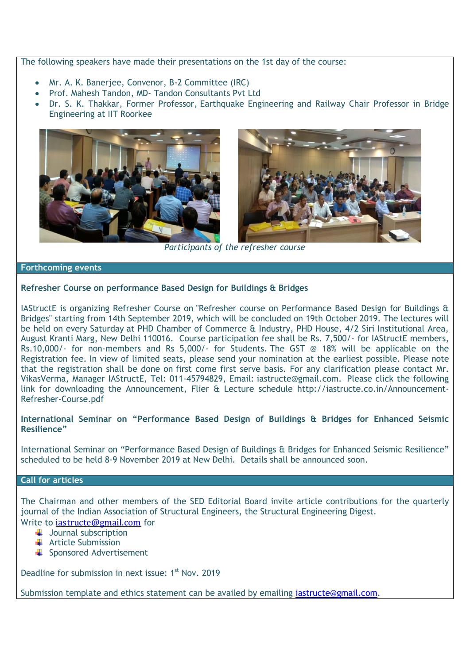The following speakers have made their presentations on the 1st day of the course:

- Mr. A. K. Banerjee, Convenor, B-2 Committee (IRC)
- Prof. Mahesh Tandon, MD- Tandon Consultants Pvt Ltd
- Dr. S. K. Thakkar, Former Professor, Earthquake Engineering and Railway Chair Professor in Bridge Engineering at IIT Roorkee



*Participants of the refresher course*

#### **Forthcoming events**

**Refresher Course on performance Based Design for Buildings & Bridges**

IAStructE is organizing Refresher Course on "Refresher course on Performance Based Design for Buildings & Bridges" starting from 14th September 2019, which will be concluded on 19th October 2019. The lectures will be held on every Saturday at PHD Chamber of Commerce & Industry, PHD House, 4/2 Siri Institutional Area, August Kranti Marg, New Delhi 110016. Course participation fee shall be Rs. 7,500/- for IAStructE members, Rs.10,000/- for non-members and Rs 5,000/- for Students. The GST @ 18% will be applicable on the Registration fee. In view of limited seats, please send your nomination at the earliest possible. Please note that the registration shall be done on first come first serve basis. For any clarification please contact Mr. VikasVerma, Manager IAStructE, Tel: 011-45794829, Email: [iastructe@gmail.com.](mailto:iastructe@gmail.com) Please click the following link for downloading the Announcement, Flier & Lecture schedule [http://iastructe.co.in/Announcement-](http://iastructe.co.in/Announcement-Refresher-Course.pdf)[Refresher-Course.pdf](http://iastructe.co.in/Announcement-Refresher-Course.pdf)

**International Seminar on "Performance Based Design of Buildings & Bridges for Enhanced Seismic Resilience"**

International Seminar on "Performance Based Design of Buildings & Bridges for Enhanced Seismic Resilience" scheduled to be held 8-9 November 2019 at New Delhi. Details shall be announced soon.

## **Call for articles**

The Chairman and other members of the SED Editorial Board invite article contributions for the quarterly journal of the Indian Association of Structural Engineers, the Structural Engineering Digest.

Write to [iastructe@gmail.com](mailto:iastructe@gmail.com) for

- $\downarrow$  Journal subscription
- $\triangleq$  Article Submission
- **↓** Sponsored Advertisement

Deadline for submission in next issue: 1<sup>st</sup> Nov. 2019

Submission template and ethics statement can be availed by emailing [iastructe@gmail.com.](mailto:iastructe@gmail.com)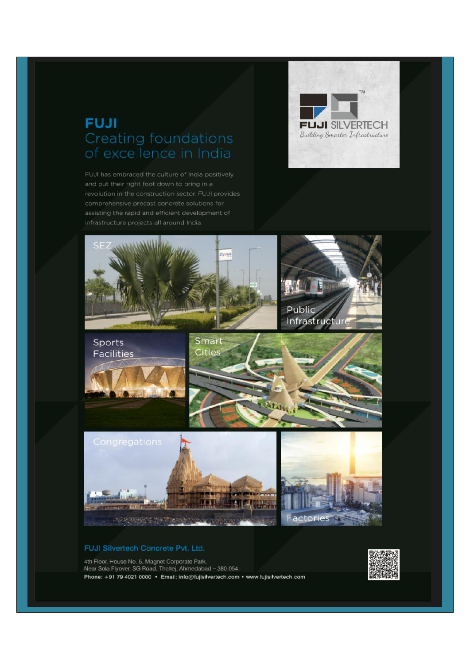# **FUJI** Creating foundations

and put their right foot down to bring in a revolution in the construction sector. FUJI provides comprehensive precast concrete solutions for assisting the rapid and efficient development of





#### FUJI Silvertech Concrete Pvt. Ltd.

4th Floor, House No. 5, Magnet Corporate Park, Near Sola Flyover, SG Road, Thaltej, Ahmedabad - 380 054. Phone: +91 79 4021 0000 · Email: info@fujisilvertech.com · www.fujisilvertech.com

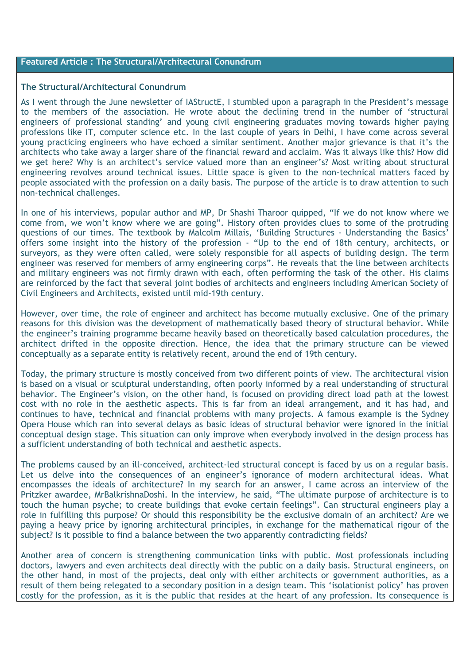#### **Featured Article : The Structural/Architectural Conundrum**

#### **The Structural/Architectural Conundrum**

As I went through the June newsletter of IAStructE, I stumbled upon a paragraph in the President's message to the members of the association. He wrote about the declining trend in the number of "structural engineers of professional standing' and young civil engineering graduates moving towards higher paying professions like IT, computer science etc. In the last couple of years in Delhi, I have come across several young practicing engineers who have echoed a similar sentiment. Another major grievance is that it"s the architects who take away a larger share of the financial reward and acclaim. Was it always like this? How did we get here? Why is an architect's service valued more than an engineer's? Most writing about structural engineering revolves around technical issues. Little space is given to the non-technical matters faced by people associated with the profession on a daily basis. The purpose of the article is to draw attention to such non-technical challenges.

In one of his interviews, popular author and MP, Dr Shashi Tharoor quipped, "If we do not know where we come from, we won"t know where we are going". History often provides clues to some of the protruding questions of our times. The textbook by Malcolm Millais, "Building Structures - Understanding the Basics" offers some insight into the history of the profession - "Up to the end of 18th century, architects, or surveyors, as they were often called, were solely responsible for all aspects of building design. The term engineer was reserved for members of army engineering corps". He reveals that the line between architects and military engineers was not firmly drawn with each, often performing the task of the other. His claims are reinforced by the fact that several joint bodies of architects and engineers including American Society of Civil Engineers and Architects, existed until mid-19th century.

However, over time, the role of engineer and architect has become mutually exclusive. One of the primary reasons for this division was the development of mathematically based theory of structural behavior. While the engineer"s training programme became heavily based on theoretically based calculation procedures, the architect drifted in the opposite direction. Hence, the idea that the primary structure can be viewed conceptually as a separate entity is relatively recent, around the end of 19th century.

Today, the primary structure is mostly conceived from two different points of view. The architectural vision is based on a visual or sculptural understanding, often poorly informed by a real understanding of structural behavior. The Engineer's vision, on the other hand, is focused on providing direct load path at the lowest cost with no role in the aesthetic aspects. This is far from an ideal arrangement, and it has had, and continues to have, technical and financial problems with many projects. A famous example is the Sydney Opera House which ran into several delays as basic ideas of structural behavior were ignored in the initial conceptual design stage. This situation can only improve when everybody involved in the design process has a sufficient understanding of both technical and aesthetic aspects.

The problems caused by an ill-conceived, architect-led structural concept is faced by us on a regular basis. Let us delve into the consequences of an engineer's ignorance of modern architectural ideas. What encompasses the ideals of architecture? In my search for an answer, I came across an interview of the Pritzker awardee, MrBalkrishnaDoshi. In the interview, he said, "The ultimate purpose of architecture is to touch the human psyche; to create buildings that evoke certain feelings". Can structural engineers play a role in fulfilling this purpose? Or should this responsibility be the exclusive domain of an architect? Are we paying a heavy price by ignoring architectural principles, in exchange for the mathematical rigour of the subject? Is it possible to find a balance between the two apparently contradicting fields?

Another area of concern is strengthening communication links with public. Most professionals including doctors, lawyers and even architects deal directly with the public on a daily basis. Structural engineers, on the other hand, in most of the projects, deal only with either architects or government authorities, as a result of them being relegated to a secondary position in a design team. This "isolationist policy" has proven costly for the profession, as it is the public that resides at the heart of any profession. Its consequence is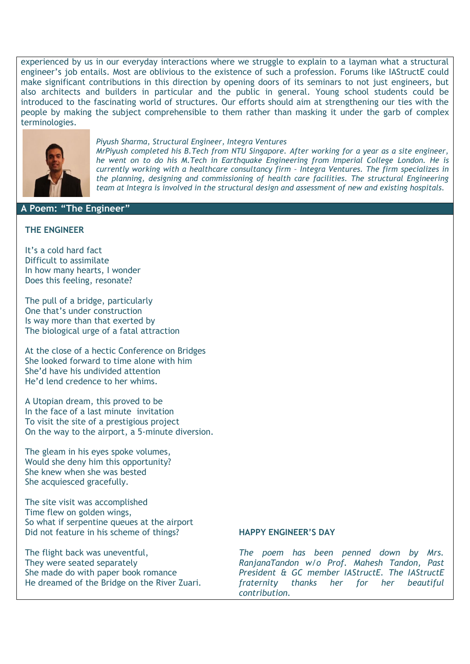experienced by us in our everyday interactions where we struggle to explain to a layman what a structural engineer"s job entails. Most are oblivious to the existence of such a profession. Forums like IAStructE could make significant contributions in this direction by opening doors of its seminars to not just engineers, but also architects and builders in particular and the public in general. Young school students could be introduced to the fascinating world of structures. Our efforts should aim at strengthening our ties with the people by making the subject comprehensible to them rather than masking it under the garb of complex terminologies.



#### *Piyush Sharma, Structural Engineer, Integra Ventures*

*MrPiyush completed his B.Tech from NTU Singapore. After working for a year as a site engineer, he went on to do his M.Tech in Earthquake Engineering from Imperial College London. He is currently working with a healthcare consultancy firm – Integra Ventures. The firm specializes in the planning, designing and commissioning of health care facilities. The structural Engineering team at Integra is involved in the structural design and assessment of new and existing hospitals.*

#### **A Poem: "The Engineer"**

#### **THE ENGINEER**

It"s a cold hard fact Difficult to assimilate In how many hearts, I wonder Does this feeling, resonate?

The pull of a bridge, particularly One that"s under construction Is way more than that exerted by The biological urge of a fatal attraction

At the close of a hectic Conference on Bridges She looked forward to time alone with him She"d have his undivided attention He"d lend credence to her whims.

A Utopian dream, this proved to be In the face of a last minute invitation To visit the site of a prestigious project On the way to the airport, a 5-minute diversion.

The gleam in his eyes spoke volumes, Would she deny him this opportunity? She knew when she was bested She acquiesced gracefully.

The site visit was accomplished Time flew on golden wings, So what if serpentine queues at the airport Did not feature in his scheme of things?

The flight back was uneventful, They were seated separately She made do with paper book romance He dreamed of the Bridge on the River Zuari.

#### **HAPPY ENGINEER"S DAY**

*The poem has been penned down by Mrs. RanjanaTandon w/o Prof. Mahesh Tandon, Past President & GC member IAStructE. The IAStructE fraternity thanks her for her beautiful contribution.*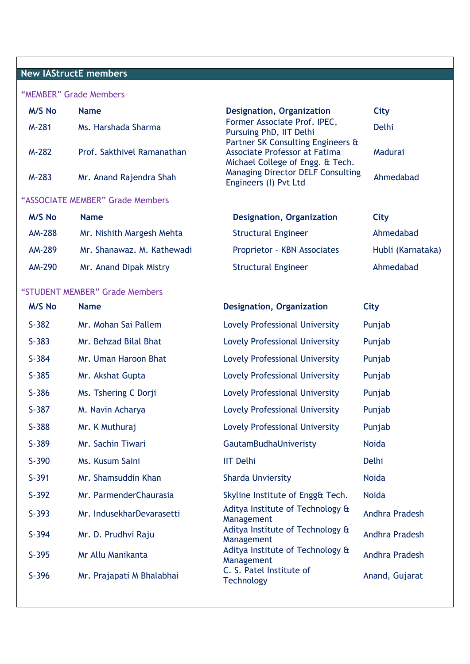# **New IAStructE members**

"MEMBER" Grade Members

| <b>M/S No</b>                    | <b>Name</b>                | Designation, Organization                                                                    | <b>City</b>       |  |  |
|----------------------------------|----------------------------|----------------------------------------------------------------------------------------------|-------------------|--|--|
| M-281                            | Ms. Harshada Sharma        | Former Associate Prof. IPEC,<br>Pursuing PhD, IIT Delhi<br>Partner SK Consulting Engineers & | <b>Delhi</b>      |  |  |
| $M-282$                          | Prof. Sakthivel Ramanathan | Associate Professor at Fatima<br>Michael College of Engg. & Tech.                            | Madurai           |  |  |
| M-283                            | Mr. Anand Rajendra Shah    | <b>Managing Director DELF Consulting</b><br>Engineers (I) Pvt Ltd                            | Ahmedabad         |  |  |
| "ASSOCIATE MEMBER" Grade Members |                            |                                                                                              |                   |  |  |
| <b>M/S No</b>                    | <b>Name</b>                | <b>Designation, Organization</b>                                                             | City              |  |  |
| <b>AM-288</b>                    | Mr. Nishith Margesh Mehta  | <b>Structural Engineer</b>                                                                   | Ahmedabad         |  |  |
| <b>AM-289</b>                    | Mr. Shanawaz, M. Kathewadi | Proprietor - KBN Associates                                                                  | Hubli (Karnataka) |  |  |
| <b>AM-290</b>                    | Mr. Anand Dipak Mistry     | <b>Structural Engineer</b>                                                                   | Ahmedabad         |  |  |
| "STUDENT MEMBER" Grade Members   |                            |                                                                                              |                   |  |  |
| <b>M/S No</b>                    | <b>Name</b>                | <b>Designation, Organization</b>                                                             | City              |  |  |
| $S-382$                          | Mr. Mohan Sai Pallem       | <b>Lovely Professional University</b>                                                        | Punjab            |  |  |
| $S-383$                          | Mr. Behzad Bilal Bhat      | Lovely Professional University                                                               | Punjab            |  |  |
| $S-384$                          | Mr. Uman Haroon Bhat       | Lovely Professional University                                                               | Punjab            |  |  |
| $S-385$                          | Mr. Akshat Gupta           | <b>Lovely Professional University</b>                                                        | Punjab            |  |  |
| $S-386$                          | Ms. Tshering C Dorji       | <b>Lovely Professional University</b>                                                        | Punjab            |  |  |

| $S-382$ | Mr. Mohan Sai Pallem      | Lovely Professional University                 | Punjab         |
|---------|---------------------------|------------------------------------------------|----------------|
| $S-383$ | Mr. Behzad Bilal Bhat     | Lovely Professional University                 | Punjab         |
| $S-384$ | Mr. Uman Haroon Bhat      | <b>Lovely Professional University</b>          | Punjab         |
| $S-385$ | Mr. Akshat Gupta          | Lovely Professional University                 | Punjab         |
| $S-386$ | Ms. Tshering C Dorji      | Lovely Professional University                 | Punjab         |
| $S-387$ | M. Navin Acharya          | Lovely Professional University                 | Punjab         |
| $S-388$ | Mr. K Muthuraj            | Lovely Professional University                 | Punjab         |
| $S-389$ | Mr. Sachin Tiwari         | GautamBudhaUniveristy                          | <b>Noida</b>   |
| $S-390$ | Ms. Kusum Saini           | <b>IIT Delhi</b>                               | <b>Delhi</b>   |
| $S-391$ | Mr. Shamsuddin Khan       | <b>Sharda Unviersity</b>                       | <b>Noida</b>   |
| $S-392$ | Mr. ParmenderChaurasia    | Skyline Institute of Engg& Tech.               | <b>Noida</b>   |
| $S-393$ | Mr. IndusekharDevarasetti | Aditya Institute of Technology &<br>Management | Andhra Pradesh |
| $S-394$ | Mr. D. Prudhvi Raju       | Aditya Institute of Technology &<br>Management | Andhra Pradesh |
| $S-395$ | Mr Allu Manikanta         | Aditya Institute of Technology &<br>Management | Andhra Pradesh |
| $S-396$ | Mr. Prajapati M Bhalabhai | C. S. Patel Institute of<br><b>Technology</b>  | Anand, Gujarat |